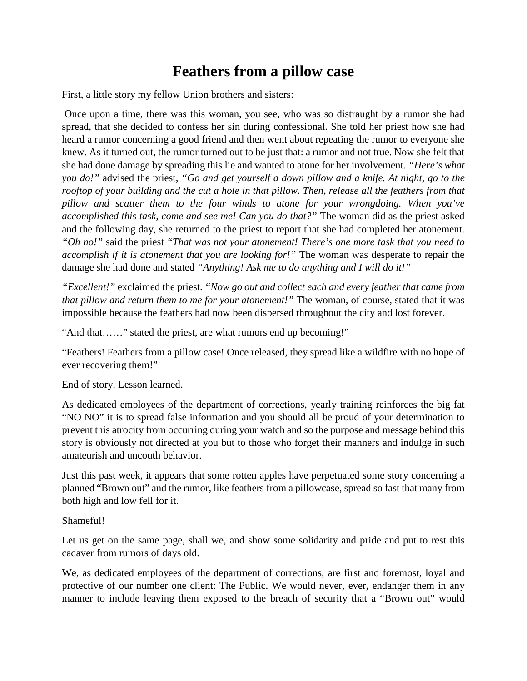## **Feathers from a pillow case**

First, a little story my fellow Union brothers and sisters:

Once upon a time, there was this woman, you see, who was so distraught by a rumor she had spread, that she decided to confess her sin during confessional. She told her priest how she had heard a rumor concerning a good friend and then went about repeating the rumor to everyone she knew. As it turned out, the rumor turned out to be just that: a rumor and not true. Now she felt that she had done damage by spreading this lie and wanted to atone for her involvement. *"Here's what you do!"* advised the priest, *"Go and get yourself a down pillow and a knife. At night, go to the rooftop of your building and the cut a hole in that pillow. Then, release all the feathers from that pillow and scatter them to the four winds to atone for your wrongdoing. When you've accomplished this task, come and see me! Can you do that?"* The woman did as the priest asked and the following day, she returned to the priest to report that she had completed her atonement. *"Oh no!"* said the priest *"That was not your atonement! There's one more task that you need to accomplish if it is atonement that you are looking for!"* The woman was desperate to repair the damage she had done and stated *"Anything! Ask me to do anything and I will do it!"*

*"Excellent!"* exclaimed the priest. *"Now go out and collect each and every feather that came from that pillow and return them to me for your atonement!"* The woman, of course, stated that it was impossible because the feathers had now been dispersed throughout the city and lost forever.

"And that……" stated the priest, are what rumors end up becoming!"

"Feathers! Feathers from a pillow case! Once released, they spread like a wildfire with no hope of ever recovering them!"

End of story. Lesson learned.

As dedicated employees of the department of corrections, yearly training reinforces the big fat "NO NO" it is to spread false information and you should all be proud of your determination to prevent this atrocity from occurring during your watch and so the purpose and message behind this story is obviously not directed at you but to those who forget their manners and indulge in such amateurish and uncouth behavior.

Just this past week, it appears that some rotten apples have perpetuated some story concerning a planned "Brown out" and the rumor, like feathers from a pillowcase, spread so fast that many from both high and low fell for it.

## Shameful!

Let us get on the same page, shall we, and show some solidarity and pride and put to rest this cadaver from rumors of days old.

We, as dedicated employees of the department of corrections, are first and foremost, loyal and protective of our number one client: The Public. We would never, ever, endanger them in any manner to include leaving them exposed to the breach of security that a "Brown out" would